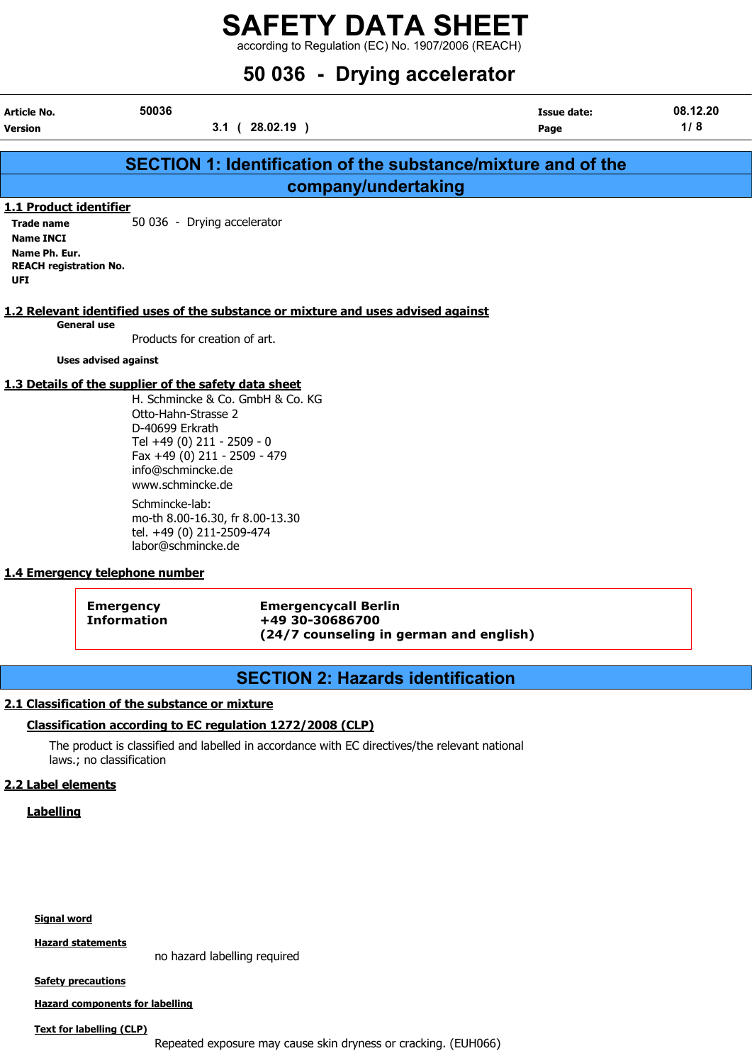according to Regulation (EC) No. 1907/2006 (REACH)

| 50 036 - Drying accelerator                                                                                              |                                                                                                                                                                                                                         |                                                                                           |                                                                      |                 |  |  |
|--------------------------------------------------------------------------------------------------------------------------|-------------------------------------------------------------------------------------------------------------------------------------------------------------------------------------------------------------------------|-------------------------------------------------------------------------------------------|----------------------------------------------------------------------|-----------------|--|--|
| Article No.<br><b>Version</b>                                                                                            | 50036                                                                                                                                                                                                                   | $3.1$ ( $28.02.19$ )                                                                      | <b>Issue date:</b><br>Page                                           | 08.12.20<br>1/8 |  |  |
|                                                                                                                          |                                                                                                                                                                                                                         |                                                                                           | <b>SECTION 1: Identification of the substance/mixture and of the</b> |                 |  |  |
|                                                                                                                          |                                                                                                                                                                                                                         | company/undertaking                                                                       |                                                                      |                 |  |  |
| 1.1 Product identifier<br><b>Trade name</b><br><b>Name INCI</b><br>Name Ph. Eur.<br><b>REACH registration No.</b><br>UFI | 50 036 - Drying accelerator                                                                                                                                                                                             |                                                                                           |                                                                      |                 |  |  |
|                                                                                                                          | <b>General use</b><br>Products for creation of art.<br><b>Uses advised against</b>                                                                                                                                      | 1.2 Relevant identified uses of the substance or mixture and uses advised against         |                                                                      |                 |  |  |
|                                                                                                                          | 1.3 Details of the supplier of the safety data sheet<br>Otto-Hahn-Strasse 2<br>D-40699 Erkrath<br>Tel +49 (0) 211 - 2509 - 0<br>Fax +49 (0) 211 - 2509 - 479<br>info@schmincke.de<br>www.schmincke.de<br>Schmincke-lab: | H. Schmincke & Co. GmbH & Co. KG                                                          |                                                                      |                 |  |  |
|                                                                                                                          | mo-th 8.00-16.30, fr 8.00-13.30<br>tel. +49 (0) 211-2509-474<br>labor@schmincke.de<br>1.4 Emergency telephone number                                                                                                    |                                                                                           |                                                                      |                 |  |  |
|                                                                                                                          | <b>Emergency</b><br><b>Information</b>                                                                                                                                                                                  | <b>Emergencycall Berlin</b><br>+49 30-30686700<br>(24/7 counseling in german and english) |                                                                      |                 |  |  |

### SECTION 2: Hazards identification

#### 2.1 Classification of the substance or mixture

#### Classification according to EC regulation 1272/2008 (CLP)

The product is classified and labelled in accordance with EC directives/the relevant national laws.; no classification

#### 2.2 Label elements

**Labelling** 

#### Signal word

Hazard statements

no hazard labelling required

**Safety precautions** 

Hazard components for labelling

#### Text for labelling (CLP)

Repeated exposure may cause skin dryness or cracking. (EUH066)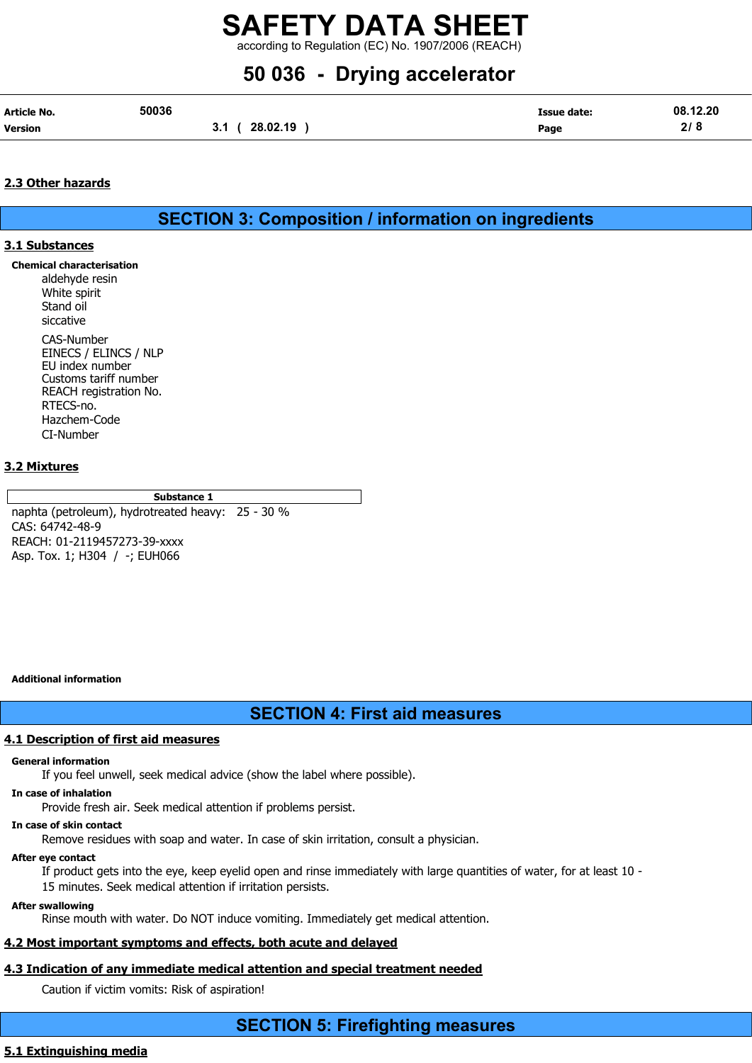according to Regulation (EC) No. 1907/2006 (REACH)

# 50 036 - Drying accelerator

| <b>Article No.</b> | 50036 |                 | Issue date: | 08.12.20 |
|--------------------|-------|-----------------|-------------|----------|
| Version            |       | 28.02.19<br>3.1 | Page        | 2/8      |

#### 2.3 Other hazards

SECTION 3: Composition / information on ingredients

#### 3.1 Substances

- Chemical characterisation
	- aldehyde resin White spirit Stand oil siccative CAS-Number EINECS / ELINCS / NLP EU index number Customs tariff number REACH registration No. RTECS-no. Hazchem-Code CI-Number

#### 3.2 Mixtures

Substance 1

naphta (petroleum), hydrotreated heavy: 25 - 30 % CAS: 64742-48-9 REACH: 01-2119457273-39-xxxx Asp. Tox. 1; H304 / -; EUH066

#### Additional information

### SECTION 4: First aid measures

#### 4.1 Description of first aid measures

#### General information

If you feel unwell, seek medical advice (show the label where possible).

In case of inhalation

Provide fresh air. Seek medical attention if problems persist.

#### In case of skin contact

Remove residues with soap and water. In case of skin irritation, consult a physician.

#### After eye contact

If product gets into the eye, keep eyelid open and rinse immediately with large quantities of water, for at least 10 - 15 minutes. Seek medical attention if irritation persists.

#### After swallowing

Rinse mouth with water. Do NOT induce vomiting. Immediately get medical attention.

## 4.2 Most important symptoms and effects, both acute and delayed

## 4.3 Indication of any immediate medical attention and special treatment needed

Caution if victim vomits: Risk of aspiration!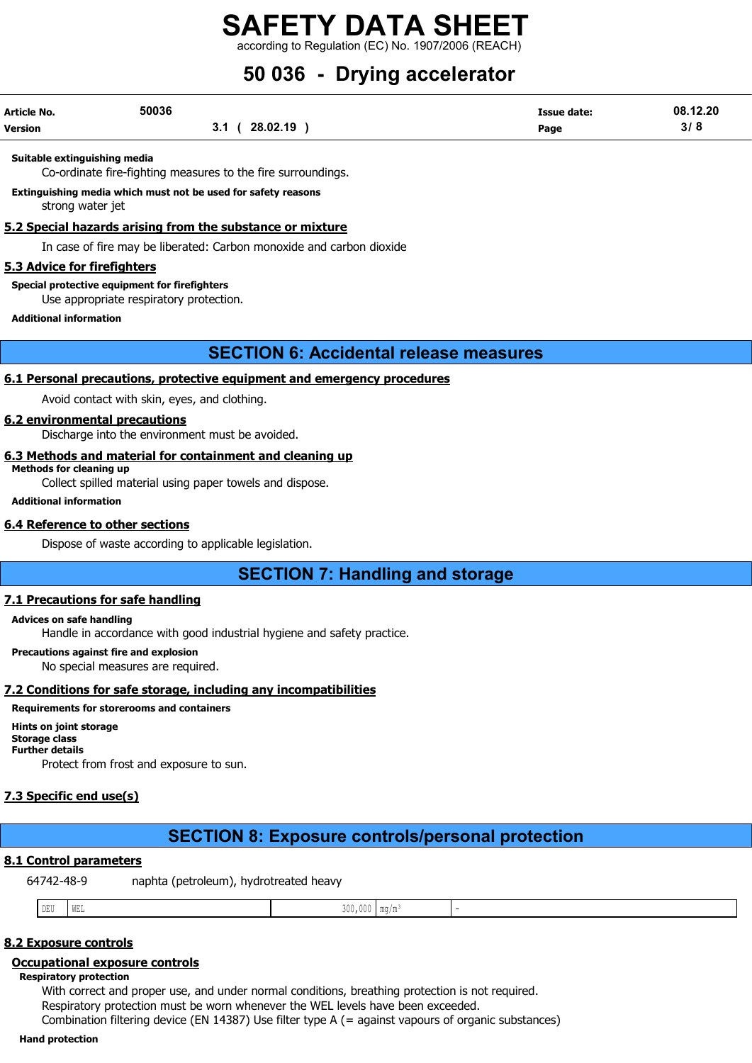according to Regulation (EC) No. 1907/2006 (REACH)

# 50 036 - Drying accelerator

| Article No. | 50036 |                  | <b>Issue date:</b> | 08.12.20 |
|-------------|-------|------------------|--------------------|----------|
| Version     |       | 28.02.19<br>v. I | Page               | 3/8      |

#### Suitable extinguishing media

Co-ordinate fire-fighting measures to the fire surroundings.

Extinguishing media which must not be used for safety reasons strong water jet

#### 5.2 Special hazards arising from the substance or mixture

In case of fire may be liberated: Carbon monoxide and carbon dioxide

#### 5.3 Advice for firefighters

Special protective equipment for firefighters

Use appropriate respiratory protection.

#### Additional information

### SECTION 6: Accidental release measures

#### 6.1 Personal precautions, protective equipment and emergency procedures

Avoid contact with skin, eyes, and clothing.

#### 6.2 environmental precautions

Discharge into the environment must be avoided.

#### 6.3 Methods and material for containment and cleaning up

Methods for cleaning up

Collect spilled material using paper towels and dispose.

#### Additional information

#### 6.4 Reference to other sections

Dispose of waste according to applicable legislation.

SECTION 7: Handling and storage

#### 7.1 Precautions for safe handling

#### Advices on safe handling

Handle in accordance with good industrial hygiene and safety practice.

Precautions against fire and explosion

No special measures are required.

#### 7.2 Conditions for safe storage, including any incompatibilities

#### Requirements for storerooms and containers

#### Hints on joint storage Storage class

Further details

Protect from frost and exposure to sun.

### 7.3 Specific end use(s)

## SECTION 8: Exposure controls/personal protection

#### 8.1 Control parameters

64742-48-9 naphta (petroleum), hydrotreated heavy

#### 8.2 Exposure controls

#### Occupational exposure controls

#### Respiratory protection

With correct and proper use, and under normal conditions, breathing protection is not required. Respiratory protection must be worn whenever the WEL levels have been exceeded. Combination filtering device (EN 14387) Use filter type A (= against vapours of organic substances)

#### Hand protection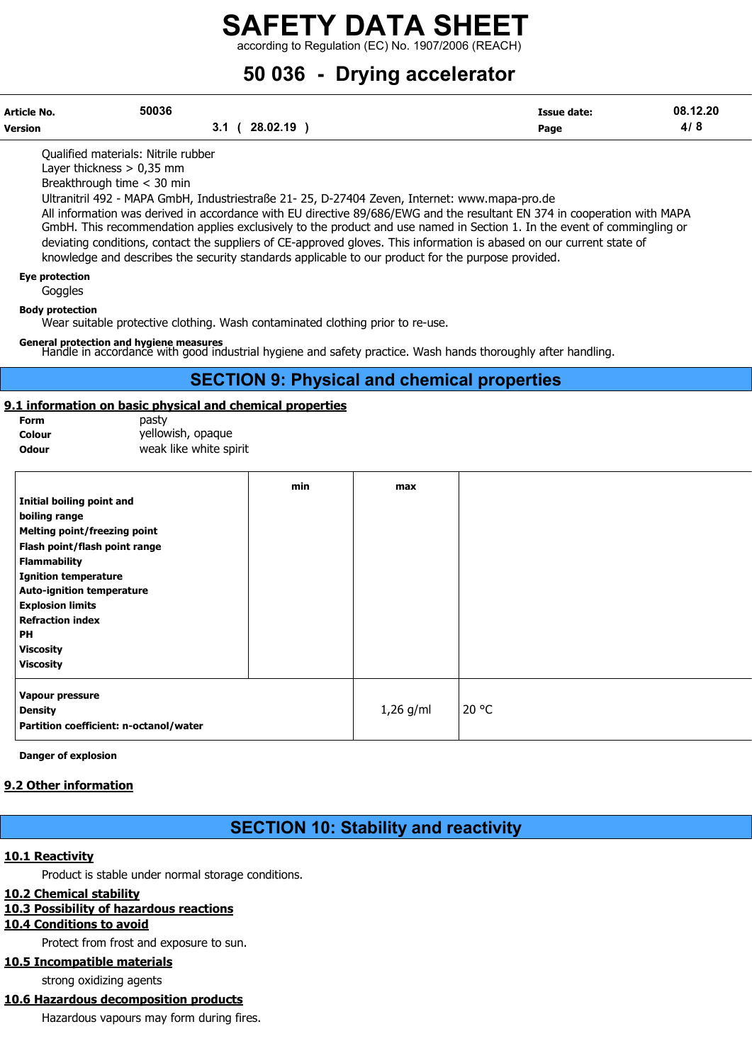according to Regulation (EC) No. 1907/2006 (REACH)

# 50 036 - Drying accelerator

| Article No.<br>Version                                                                                                                                                                                                                                                                                                  | 50036<br>3.1 <sup>1</sup>                                                                                                                                                                                                                                                                               | 28.02.19 ) |             | <b>Issue date:</b><br>Page                                                                                                                                                                                                                                                                                                                                                   | 08.12.20<br>4/8 |
|-------------------------------------------------------------------------------------------------------------------------------------------------------------------------------------------------------------------------------------------------------------------------------------------------------------------------|---------------------------------------------------------------------------------------------------------------------------------------------------------------------------------------------------------------------------------------------------------------------------------------------------------|------------|-------------|------------------------------------------------------------------------------------------------------------------------------------------------------------------------------------------------------------------------------------------------------------------------------------------------------------------------------------------------------------------------------|-----------------|
|                                                                                                                                                                                                                                                                                                                         | Qualified materials: Nitrile rubber<br>Layer thickness $> 0.35$ mm<br>Breakthrough time < 30 min<br>Ultranitril 492 - MAPA GmbH, Industriestraße 21- 25, D-27404 Zeven, Internet: www.mapa-pro.de<br>knowledge and describes the security standards applicable to our product for the purpose provided. |            |             | All information was derived in accordance with EU directive 89/686/EWG and the resultant EN 374 in cooperation with MAPA<br>GmbH. This recommendation applies exclusively to the product and use named in Section 1. In the event of commingling or<br>deviating conditions, contact the suppliers of CE-approved gloves. This information is abased on our current state of |                 |
| <b>Eye protection</b><br>Goggles                                                                                                                                                                                                                                                                                        |                                                                                                                                                                                                                                                                                                         |            |             |                                                                                                                                                                                                                                                                                                                                                                              |                 |
| <b>Body protection</b>                                                                                                                                                                                                                                                                                                  | Wear suitable protective clothing. Wash contaminated clothing prior to re-use.                                                                                                                                                                                                                          |            |             |                                                                                                                                                                                                                                                                                                                                                                              |                 |
|                                                                                                                                                                                                                                                                                                                         | General protection and hygiene measures                                                                                                                                                                                                                                                                 |            |             | Handle in accordance with good industrial hygiene and safety practice. Wash hands thoroughly after handling.                                                                                                                                                                                                                                                                 |                 |
|                                                                                                                                                                                                                                                                                                                         |                                                                                                                                                                                                                                                                                                         |            |             | <b>SECTION 9: Physical and chemical properties</b>                                                                                                                                                                                                                                                                                                                           |                 |
| Form<br>Colour<br><b>Odour</b>                                                                                                                                                                                                                                                                                          | 9.1 information on basic physical and chemical properties<br>pasty<br>yellowish, opaque<br>weak like white spirit                                                                                                                                                                                       |            |             |                                                                                                                                                                                                                                                                                                                                                                              |                 |
| <b>Initial boiling point and</b><br>boiling range<br><b>Melting point/freezing point</b><br>Flash point/flash point range<br><b>Flammability</b><br><b>Ignition temperature</b><br><b>Auto-ignition temperature</b><br><b>Explosion limits</b><br><b>Refraction index</b><br>PH<br><b>Viscosity</b><br><b>Viscosity</b> |                                                                                                                                                                                                                                                                                                         | min        | max         |                                                                                                                                                                                                                                                                                                                                                                              |                 |
| Vapour pressure<br><b>Density</b>                                                                                                                                                                                                                                                                                       | Partition coefficient: n-octanol/water                                                                                                                                                                                                                                                                  |            | $1,26$ g/ml | 20 °C                                                                                                                                                                                                                                                                                                                                                                        |                 |
| <b>Danger of explosion</b><br>9.2 Other information                                                                                                                                                                                                                                                                     |                                                                                                                                                                                                                                                                                                         |            |             |                                                                                                                                                                                                                                                                                                                                                                              |                 |

## SECTION 10: Stability and reactivity

#### 10.1 Reactivity

Product is stable under normal storage conditions.

#### 10.2 Chemical stability

#### 10.3 Possibility of hazardous reactions

10.4 Conditions to avoid

Protect from frost and exposure to sun.

#### 10.5 Incompatible materials

strong oxidizing agents

### 10.6 Hazardous decomposition products

Hazardous vapours may form during fires.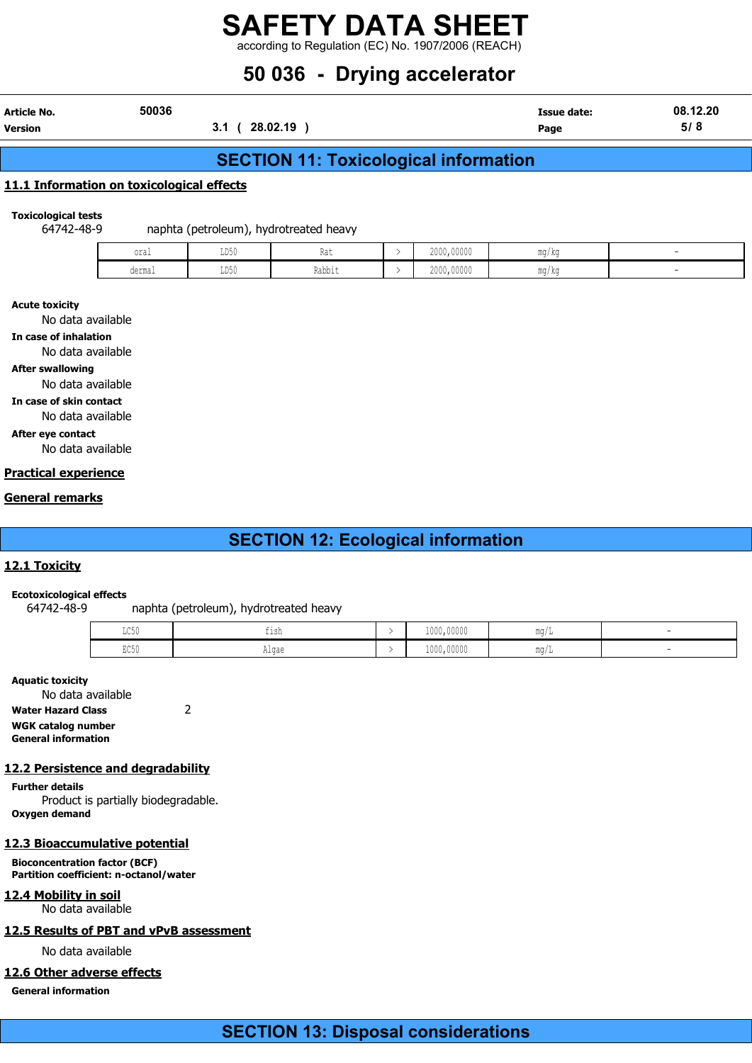## SAFETY DATA SHEET according to Regulation (EC) No. 1907/2006 (REACH)

# 50 036 - Drying accelerator

| Article No. | 50036 | Issue date: | .12.20<br>08. |
|-------------|-------|-------------|---------------|

Version 3.1 ( 28.02.19 ) Page 5/ 8

## SECTION 11: Toxicological information

#### 11.1 Information on toxicological effects

Toxicological tests

64742-48-9 naphta (petroleum), hydrotreated heavy

| oral   | T R G<br>ມມ⊍∨<br>$\sim$ $\sim$ | $n_{\rm A}$<br>nai | 2000,00000 | mg/kg |  |
|--------|--------------------------------|--------------------|------------|-------|--|
| dermal | T R A<br>ມມ⊽ບ                  | Rabbit             | 2000,00000 | ma/ka |  |

Acute toxicity

No data available

In case of inhalation

No data available

After swallowing

No data available

In case of skin contact

No data available

After eye contact

No data available

#### Practical experience

#### General remarks

## SECTION 12: Ecological information

#### 12.1 Toxicity

#### Ecotoxicological effects

64742-48-9 naphta (petroleum), hydrotreated heavy

| $T \cap E$<br>コワクカ | $+1$ ch<br>---      | 1000,00000 | m rr<br>111 J L |  |
|--------------------|---------------------|------------|-----------------|--|
| PQER<br>コレマリ       | $\sqrt{2}$<br>uthac | 1000,00000 | ∾∼<br>11147L    |  |

#### Aquatic toxicity

No data available Water Hazard Class 2 WGK catalog number General information

#### 12.2 Persistence and degradability

Further details Product is partially biodegradable. Oxygen demand

#### 12.3 Bioaccumulative potential

Bioconcentration factor (BCF) Partition coefficient: n-octanol/water

#### 12.4 Mobility in soil

No data available

#### 12.5 Results of PBT and vPvB assessment

No data available

#### 12.6 Other adverse effects

General information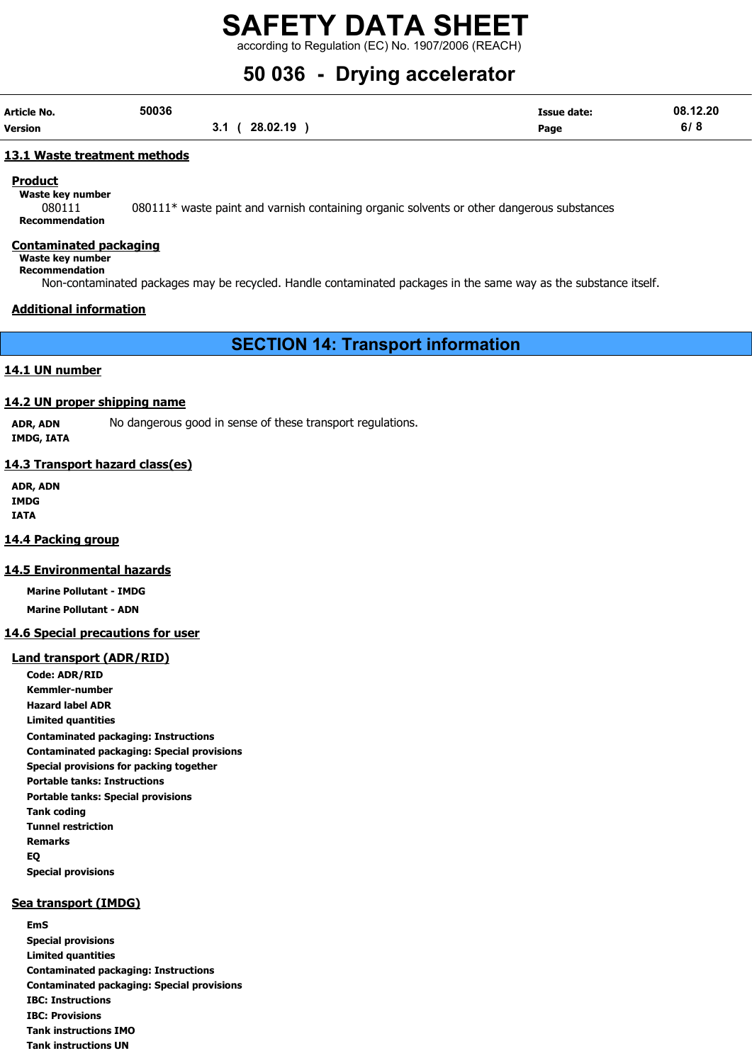according to Regulation (EC) No. 1907/2006 (REACH)

# 50 036 - Drying accelerator

| Article No. | 50036 |                        | Issue date: | 08.12.20 |
|-------------|-------|------------------------|-------------|----------|
| Version     |       | 28.02.19<br>21<br>v. 1 | Page        | 6/8      |

#### 13.1 Waste treatment methods

#### **Product**

Waste key number

080111 080111\* waste paint and varnish containing organic solvents or other dangerous substances Recommendation

#### Contaminated packaging

Waste key number Recommendation

Non-contaminated packages may be recycled. Handle contaminated packages in the same way as the substance itself.

#### Additional information

SECTION 14: Transport information

#### 14.1 UN number

#### 14.2 UN proper shipping name

ADR, ADN No dangerous good in sense of these transport regulations. IMDG, IATA

#### 14.3 Transport hazard class(es)

ADR, ADN IMDG IATA

#### 14.4 Packing group

#### 14.5 Environmental hazards

Marine Pollutant - IMDG Marine Pollutant - ADN

#### 14.6 Special precautions for user

#### Land transport (ADR/RID)

Code: ADR/RID Kemmler-number Hazard label ADR Limited quantities Contaminated packaging: Instructions Contaminated packaging: Special provisions Special provisions for packing together Portable tanks: Instructions Portable tanks: Special provisions Tank coding Tunnel restriction Remarks EQ Special provisions

#### Sea transport (IMDG)

EmS Special provisions Limited quantities Contaminated packaging: Instructions Contaminated packaging: Special provisions IBC: Instructions IBC: Provisions Tank instructions IMO Tank instructions UN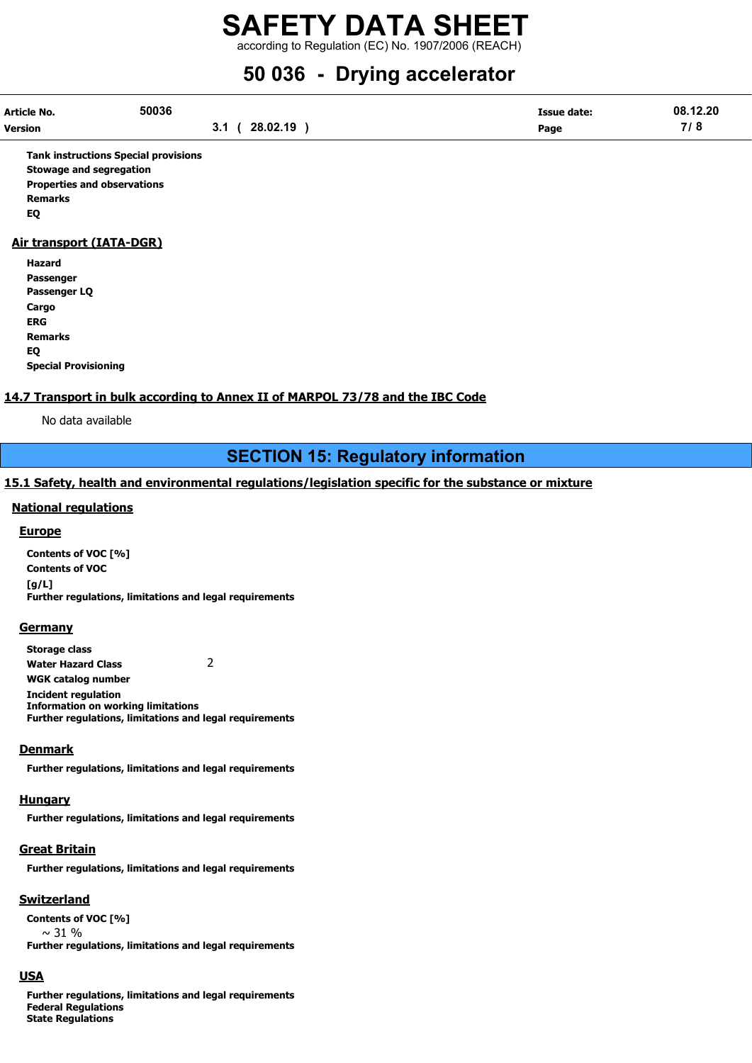according to Regulation (EC) No. 1907/2006 (REACH)

# 50 036 - Drying accelerator

| Article No.    | 50036 |          | <b>Issue date:</b> | 08.12.20 |
|----------------|-------|----------|--------------------|----------|
| <b>Version</b> |       | 28.02.19 | Page               | 71 C     |

Tank instructions Special provisions Stowage and segregation Properties and observations Remarks EQ

#### Air transport (IATA-DGR)

| Hazard                      |
|-----------------------------|
| Passenger                   |
| Passenger LQ                |
| Cargo                       |
| ERG                         |
| <b>Remarks</b>              |
| EQ                          |
| <b>Special Provisioning</b> |

#### 14.7 Transport in bulk according to Annex II of MARPOL 73/78 and the IBC Code

No data available

### SECTION 15: Regulatory information

#### 15.1 Safety, health and environmental regulations/legislation specific for the substance or mixture

#### National regulations

#### Europe

Contents of VOC [%] Contents of VOC [g/L] Further regulations, limitations and legal requirements

#### **Germany**

Storage class Water Hazard Class 2 WGK catalog number Incident regulation Information on working limitations Further regulations, limitations and legal requirements

#### **Denmark**

Further regulations, limitations and legal requirements

#### **Hungary**

Further regulations, limitations and legal requirements

#### Great Britain

Further regulations, limitations and legal requirements

#### Switzerland

Contents of VOC [%]  $\sim$  31 % Further regulations, limitations and legal requirements

#### USA

Further regulations, limitations and legal requirements Federal Regulations State Regulations